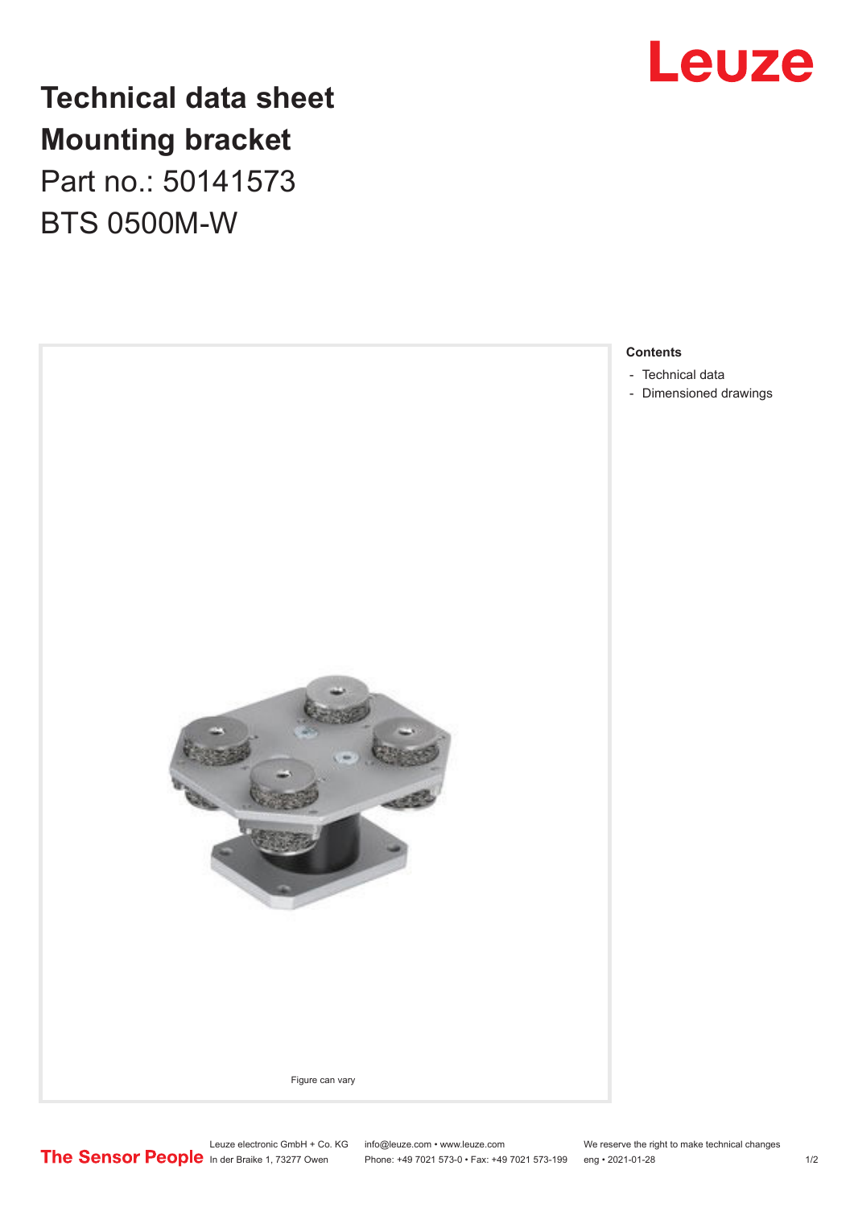

## **Technical data sheet Mounting bracket**

Part no.: 50141573 BTS 0500M-W



Leuze electronic GmbH + Co. KG info@leuze.com • www.leuze.com We reserve the right to make technical changes<br>
The Sensor People in der Braike 1, 73277 Owen Phone: +49 7021 573-0 • Fax: +49 7021 573-199 eng • 2021-01-28